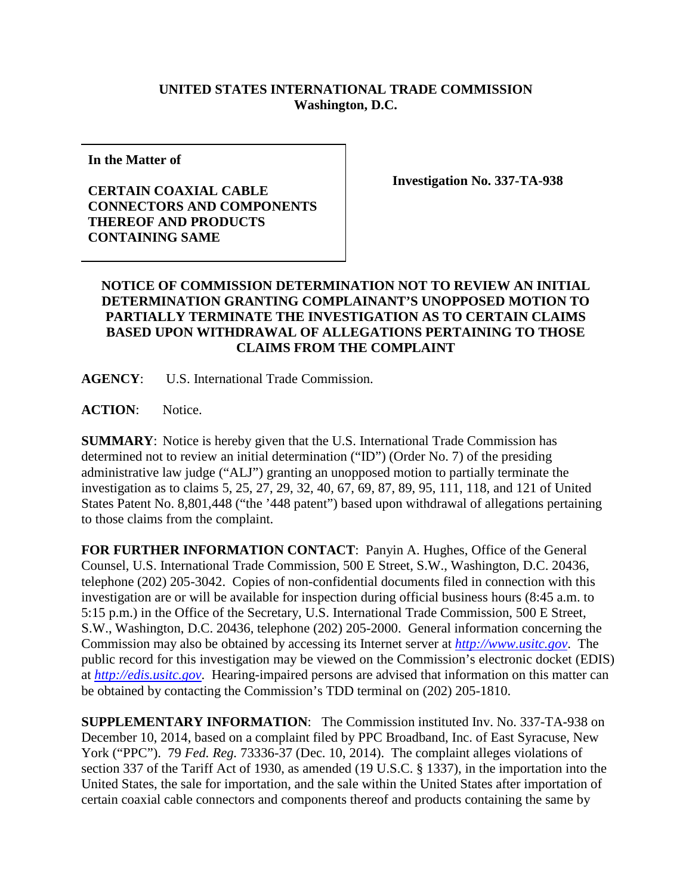## **UNITED STATES INTERNATIONAL TRADE COMMISSION Washington, D.C.**

**In the Matter of**

## **CERTAIN COAXIAL CABLE CONNECTORS AND COMPONENTS THEREOF AND PRODUCTS CONTAINING SAME**

**Investigation No. 337-TA-938**

## **NOTICE OF COMMISSION DETERMINATION NOT TO REVIEW AN INITIAL DETERMINATION GRANTING COMPLAINANT'S UNOPPOSED MOTION TO PARTIALLY TERMINATE THE INVESTIGATION AS TO CERTAIN CLAIMS BASED UPON WITHDRAWAL OF ALLEGATIONS PERTAINING TO THOSE CLAIMS FROM THE COMPLAINT**

**AGENCY**: U.S. International Trade Commission.

**ACTION**: Notice.

**SUMMARY**: Notice is hereby given that the U.S. International Trade Commission has determined not to review an initial determination ("ID") (Order No. 7) of the presiding administrative law judge ("ALJ") granting an unopposed motion to partially terminate the investigation as to claims 5, 25, 27, 29, 32, 40, 67, 69, 87, 89, 95, 111, 118, and 121 of United States Patent No. 8,801,448 ("the '448 patent") based upon withdrawal of allegations pertaining to those claims from the complaint.

**FOR FURTHER INFORMATION CONTACT**: Panyin A. Hughes, Office of the General Counsel, U.S. International Trade Commission, 500 E Street, S.W., Washington, D.C. 20436, telephone (202) 205-3042. Copies of non-confidential documents filed in connection with this investigation are or will be available for inspection during official business hours (8:45 a.m. to 5:15 p.m.) in the Office of the Secretary, U.S. International Trade Commission, 500 E Street, S.W., Washington, D.C. 20436, telephone (202) 205-2000. General information concerning the Commission may also be obtained by accessing its Internet server at *[http://www.usitc.gov](http://www.usitc.gov/)*. The public record for this investigation may be viewed on the Commission's electronic docket (EDIS) at *[http://edis.usitc.gov](http://edis.usitc.gov/)*. Hearing-impaired persons are advised that information on this matter can be obtained by contacting the Commission's TDD terminal on (202) 205-1810.

**SUPPLEMENTARY INFORMATION**: The Commission instituted Inv. No. 337-TA-938 on December 10, 2014, based on a complaint filed by PPC Broadband, Inc. of East Syracuse, New York ("PPC"). 79 *Fed. Reg.* 73336-37 (Dec. 10, 2014). The complaint alleges violations of section 337 of the Tariff Act of 1930, as amended (19 U.S.C. § 1337), in the importation into the United States, the sale for importation, and the sale within the United States after importation of certain coaxial cable connectors and components thereof and products containing the same by